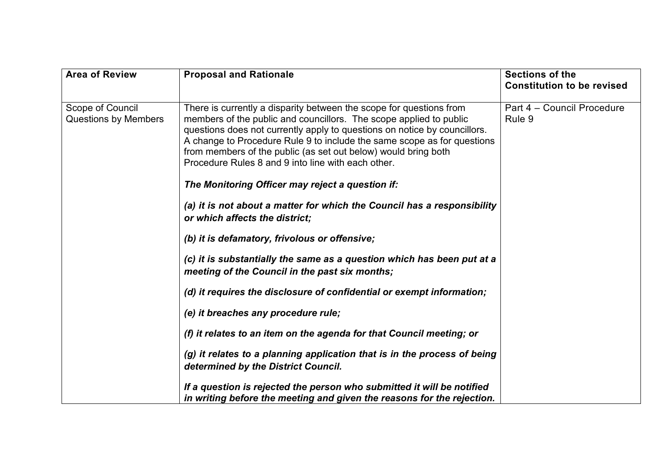| <b>Area of Review</b>                           | <b>Proposal and Rationale</b>                                                                                                                                                                                                                                                                                                                                                                                             | <b>Sections of the</b><br><b>Constitution to be revised</b> |
|-------------------------------------------------|---------------------------------------------------------------------------------------------------------------------------------------------------------------------------------------------------------------------------------------------------------------------------------------------------------------------------------------------------------------------------------------------------------------------------|-------------------------------------------------------------|
| Scope of Council<br><b>Questions by Members</b> | There is currently a disparity between the scope for questions from<br>members of the public and councillors. The scope applied to public<br>questions does not currently apply to questions on notice by councillors.<br>A change to Procedure Rule 9 to include the same scope as for questions<br>from members of the public (as set out below) would bring both<br>Procedure Rules 8 and 9 into line with each other. | Part 4 - Council Procedure<br>Rule 9                        |
|                                                 | The Monitoring Officer may reject a question if:                                                                                                                                                                                                                                                                                                                                                                          |                                                             |
|                                                 | (a) it is not about a matter for which the Council has a responsibility<br>or which affects the district;                                                                                                                                                                                                                                                                                                                 |                                                             |
|                                                 | (b) it is defamatory, frivolous or offensive;                                                                                                                                                                                                                                                                                                                                                                             |                                                             |
|                                                 | (c) it is substantially the same as a question which has been put at a<br>meeting of the Council in the past six months;                                                                                                                                                                                                                                                                                                  |                                                             |
|                                                 | (d) it requires the disclosure of confidential or exempt information;                                                                                                                                                                                                                                                                                                                                                     |                                                             |
|                                                 | (e) it breaches any procedure rule;                                                                                                                                                                                                                                                                                                                                                                                       |                                                             |
|                                                 | (f) it relates to an item on the agenda for that Council meeting; or                                                                                                                                                                                                                                                                                                                                                      |                                                             |
|                                                 | (g) it relates to a planning application that is in the process of being<br>determined by the District Council.                                                                                                                                                                                                                                                                                                           |                                                             |
|                                                 | If a question is rejected the person who submitted it will be notified<br>in writing before the meeting and given the reasons for the rejection.                                                                                                                                                                                                                                                                          |                                                             |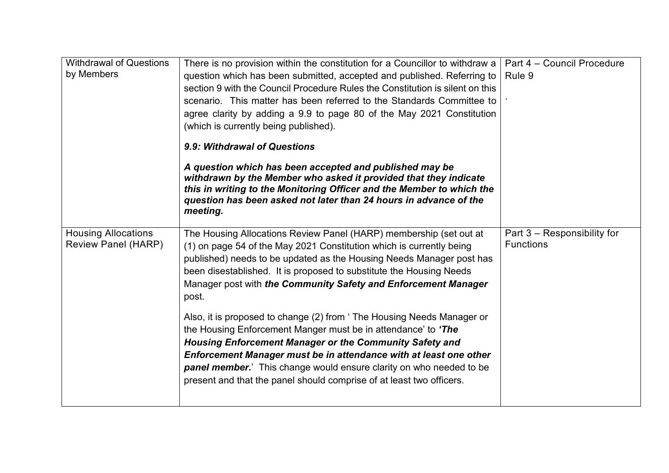| <b>Withdrawal of Questions</b><br>by Members             | There is no provision within the constitution for a Councillor to withdraw a<br>question which has been submitted, accepted and published. Referring to<br>section 9 with the Council Procedure Rules the Constitution is silent on this<br>scenario. This matter has been referred to the Standards Committee to<br>agree clarity by adding a 9.9 to page 80 of the May 2021 Constitution<br>(which is currently being published).  | Part 4 - Council Procedure<br>Rule 9            |
|----------------------------------------------------------|--------------------------------------------------------------------------------------------------------------------------------------------------------------------------------------------------------------------------------------------------------------------------------------------------------------------------------------------------------------------------------------------------------------------------------------|-------------------------------------------------|
|                                                          | 9.9: Withdrawal of Questions                                                                                                                                                                                                                                                                                                                                                                                                         |                                                 |
|                                                          | A question which has been accepted and published may be<br>withdrawn by the Member who asked it provided that they indicate<br>this in writing to the Monitoring Officer and the Member to which the<br>question has been asked not later than 24 hours in advance of the<br>meeting.                                                                                                                                                |                                                 |
| <b>Housing Allocations</b><br><b>Review Panel (HARP)</b> | The Housing Allocations Review Panel (HARP) membership (set out at<br>(1) on page 54 of the May 2021 Constitution which is currently being<br>published) needs to be updated as the Housing Needs Manager post has<br>been disestablished. It is proposed to substitute the Housing Needs<br>Manager post with the Community Safety and Enforcement Manager<br>post.                                                                 | Part 3 - Responsibility for<br><b>Functions</b> |
|                                                          | Also, it is proposed to change (2) from 'The Housing Needs Manager or<br>the Housing Enforcement Manger must be in attendance' to 'The<br><b>Housing Enforcement Manager or the Community Safety and</b><br>Enforcement Manager must be in attendance with at least one other<br><b>panel member.</b> ' This change would ensure clarity on who needed to be<br>present and that the panel should comprise of at least two officers. |                                                 |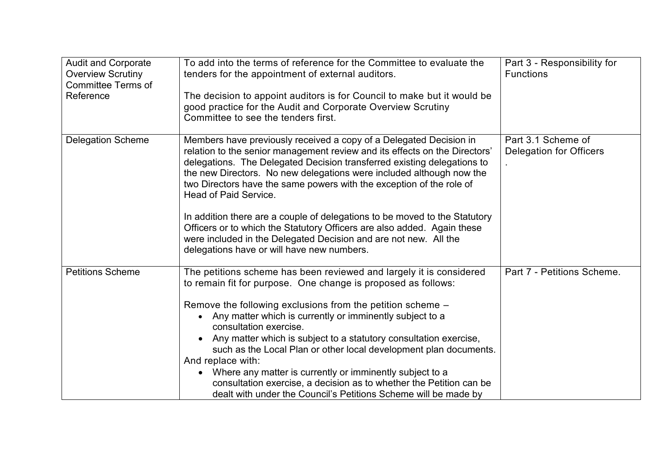| <b>Audit and Corporate</b><br><b>Overview Scrutiny</b><br><b>Committee Terms of</b><br>Reference | To add into the terms of reference for the Committee to evaluate the<br>tenders for the appointment of external auditors.<br>The decision to appoint auditors is for Council to make but it would be<br>good practice for the Audit and Corporate Overview Scrutiny<br>Committee to see the tenders first.                                                                                                                                                                                                                                                                                                                                                                      | Part 3 - Responsibility for<br><b>Functions</b>      |
|--------------------------------------------------------------------------------------------------|---------------------------------------------------------------------------------------------------------------------------------------------------------------------------------------------------------------------------------------------------------------------------------------------------------------------------------------------------------------------------------------------------------------------------------------------------------------------------------------------------------------------------------------------------------------------------------------------------------------------------------------------------------------------------------|------------------------------------------------------|
| <b>Delegation Scheme</b>                                                                         | Members have previously received a copy of a Delegated Decision in<br>relation to the senior management review and its effects on the Directors'<br>delegations. The Delegated Decision transferred existing delegations to<br>the new Directors. No new delegations were included although now the<br>two Directors have the same powers with the exception of the role of<br>Head of Paid Service.<br>In addition there are a couple of delegations to be moved to the Statutory<br>Officers or to which the Statutory Officers are also added. Again these<br>were included in the Delegated Decision and are not new. All the<br>delegations have or will have new numbers. | Part 3.1 Scheme of<br><b>Delegation for Officers</b> |
| <b>Petitions Scheme</b>                                                                          | The petitions scheme has been reviewed and largely it is considered<br>to remain fit for purpose. One change is proposed as follows:<br>Remove the following exclusions from the petition scheme -<br>• Any matter which is currently or imminently subject to a<br>consultation exercise.<br>• Any matter which is subject to a statutory consultation exercise,<br>such as the Local Plan or other local development plan documents.<br>And replace with:<br>Where any matter is currently or imminently subject to a<br>consultation exercise, a decision as to whether the Petition can be<br>dealt with under the Council's Petitions Scheme will be made by               | Part 7 - Petitions Scheme.                           |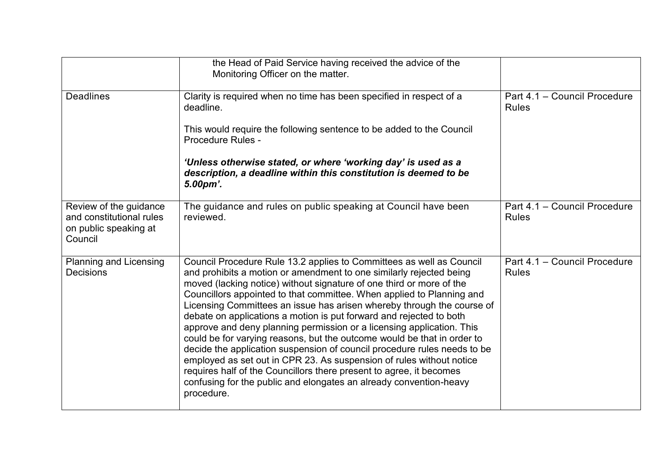|                                                                                        | the Head of Paid Service having received the advice of the<br>Monitoring Officer on the matter.                                                                                                                                                                                                                                                                                                                                                                                                                                                                                                                                                                                                                                                                                                                                                                                                                  |                                              |
|----------------------------------------------------------------------------------------|------------------------------------------------------------------------------------------------------------------------------------------------------------------------------------------------------------------------------------------------------------------------------------------------------------------------------------------------------------------------------------------------------------------------------------------------------------------------------------------------------------------------------------------------------------------------------------------------------------------------------------------------------------------------------------------------------------------------------------------------------------------------------------------------------------------------------------------------------------------------------------------------------------------|----------------------------------------------|
| <b>Deadlines</b>                                                                       | Clarity is required when no time has been specified in respect of a<br>deadline.                                                                                                                                                                                                                                                                                                                                                                                                                                                                                                                                                                                                                                                                                                                                                                                                                                 | Part 4.1 - Council Procedure<br><b>Rules</b> |
|                                                                                        | This would require the following sentence to be added to the Council<br>Procedure Rules -                                                                                                                                                                                                                                                                                                                                                                                                                                                                                                                                                                                                                                                                                                                                                                                                                        |                                              |
|                                                                                        | 'Unless otherwise stated, or where 'working day' is used as a<br>description, a deadline within this constitution is deemed to be<br>5.00pm'.                                                                                                                                                                                                                                                                                                                                                                                                                                                                                                                                                                                                                                                                                                                                                                    |                                              |
| Review of the guidance<br>and constitutional rules<br>on public speaking at<br>Council | The guidance and rules on public speaking at Council have been<br>reviewed.                                                                                                                                                                                                                                                                                                                                                                                                                                                                                                                                                                                                                                                                                                                                                                                                                                      | Part 4.1 - Council Procedure<br><b>Rules</b> |
| <b>Planning and Licensing</b><br><b>Decisions</b>                                      | Council Procedure Rule 13.2 applies to Committees as well as Council<br>and prohibits a motion or amendment to one similarly rejected being<br>moved (lacking notice) without signature of one third or more of the<br>Councillors appointed to that committee. When applied to Planning and<br>Licensing Committees an issue has arisen whereby through the course of<br>debate on applications a motion is put forward and rejected to both<br>approve and deny planning permission or a licensing application. This<br>could be for varying reasons, but the outcome would be that in order to<br>decide the application suspension of council procedure rules needs to be<br>employed as set out in CPR 23. As suspension of rules without notice<br>requires half of the Councillors there present to agree, it becomes<br>confusing for the public and elongates an already convention-heavy<br>procedure. | Part 4.1 - Council Procedure<br><b>Rules</b> |